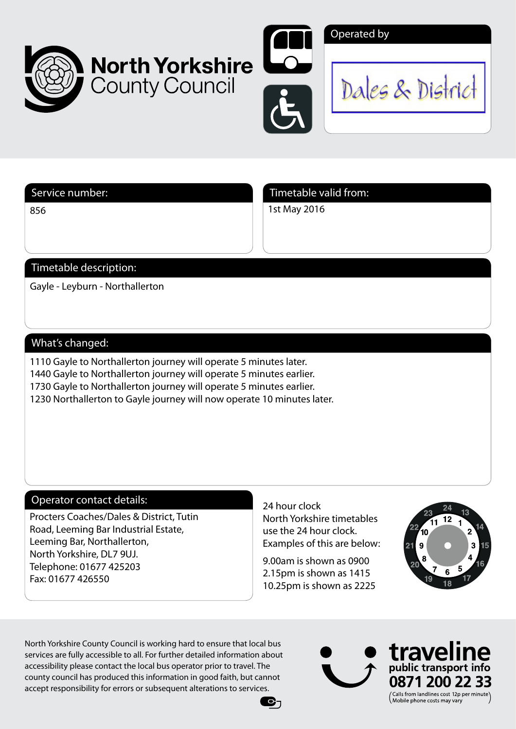





Dales & District

856

Service number: Service number: Timetable valid from:

1st May 2016

# Timetable description:

Gayle - Leyburn - Northallerton

## What's changed:

1110 Gayle to Northallerton journey will operate 5 minutes later. 1440 Gayle to Northallerton journey will operate 5 minutes earlier. 1730 Gayle to Northallerton journey will operate 5 minutes earlier.

**County Council** 

1230 Northallerton to Gayle journey will now operate 10 minutes later.

## Operator contact details:

Procters Coaches/Dales & District, Tutin Road, Leeming Bar Industrial Estate, Leeming Bar, Northallerton, North Yorkshire, DL7 9UJ. Telephone: 01677 425203 Fax: 01677 426550

24 hour clock North Yorkshire timetables use the 24 hour clock. Examples of this are below:

9.00am is shown as 0900 2.15pm is shown as 1415 10.25pm is shown as 2225

C-1



North Yorkshire County Council is working hard to ensure that local bus services are fully accessible to all. For further detailed information about accessibility please contact the local bus operator prior to travel. The county council has produced this information in good faith, but cannot accept responsibility for errors or subsequent alterations to services.